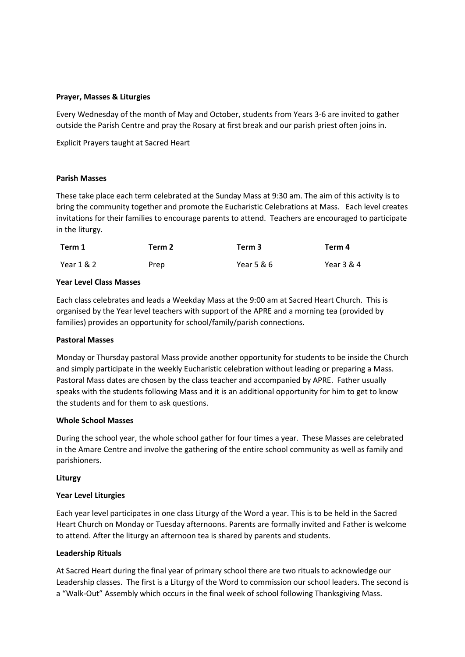### **Prayer, Masses & Liturgies**

Every Wednesday of the month of May and October, students from Years 3-6 are invited to gather outside the Parish Centre and pray the Rosary at first break and our parish priest often joins in.

Explicit Prayers taught at Sacred Heart

### **Parish Masses**

These take place each term celebrated at the Sunday Mass at 9:30 am. The aim of this activity is to bring the community together and promote the Eucharistic Celebrations at Mass. Each level creates invitations for their families to encourage parents to attend. Teachers are encouraged to participate in the liturgy.

| Term 1     | Term 2 | Term 3     | Term 4     |
|------------|--------|------------|------------|
| Year 1 & 2 | Prep   | Year 5 & 6 | Year 3 & 4 |

#### **Year Level Class Masses**

Each class celebrates and leads a Weekday Mass at the 9:00 am at Sacred Heart Church. This is organised by the Year level teachers with support of the APRE and a morning tea (provided by families) provides an opportunity for school/family/parish connections.

#### **Pastoral Masses**

Monday or Thursday pastoral Mass provide another opportunity for students to be inside the Church and simply participate in the weekly Eucharistic celebration without leading or preparing a Mass. Pastoral Mass dates are chosen by the class teacher and accompanied by APRE. Father usually speaks with the students following Mass and it is an additional opportunity for him to get to know the students and for them to ask questions.

#### **Whole School Masses**

During the school year, the whole school gather for four times a year. These Masses are celebrated in the Amare Centre and involve the gathering of the entire school community as well as family and parishioners.

#### **Liturgy**

# **Year Level Liturgies**

Each year level participates in one class Liturgy of the Word a year. This is to be held in the Sacred Heart Church on Monday or Tuesday afternoons. Parents are formally invited and Father is welcome to attend. After the liturgy an afternoon tea is shared by parents and students.

# **Leadership Rituals**

At Sacred Heart during the final year of primary school there are two rituals to acknowledge our Leadership classes. The first is a Liturgy of the Word to commission our school leaders. The second is a "Walk-Out" Assembly which occurs in the final week of school following Thanksgiving Mass.